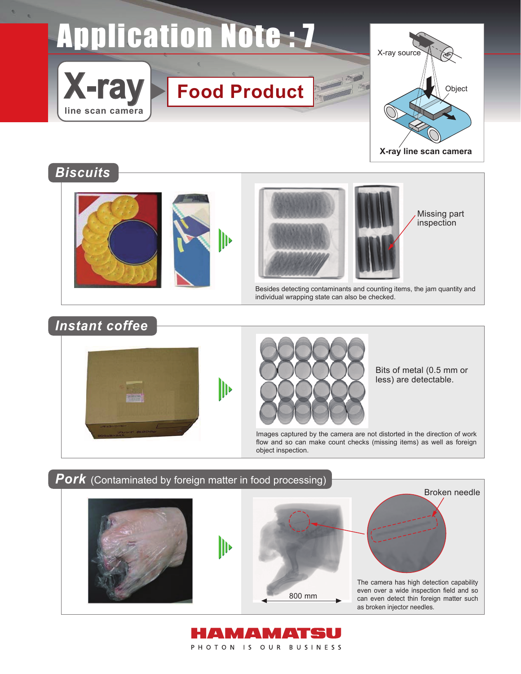# **Application Note :- 7**





## *Biscuits*







Missing part inspection

Besides detecting contaminants and counting items, the jam quantity and individual wrapping state can also be checked.

# *Instant coffee*





Bits of metal (0.5 mm or less) are detectable.

Images captured by the camera are not distorted in the direction of work flow and so can make count checks (missing items) as well as foreign object inspection.